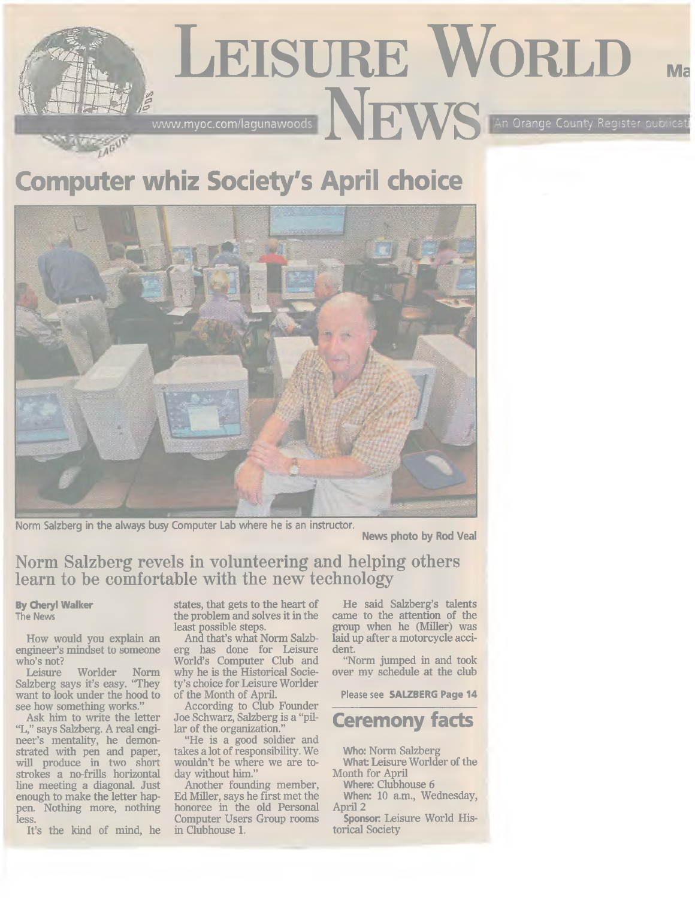# **Leisure World Ma** [www.myoc.com/lagunawoods](http://www.myoc.com/lagunawoods) News An Orange County Register publicati

# **Computer whiz Society's April choice**



Norm Salzberg in the always busy Computer Lab where he is an instructor.

**News photo by Rod Veal**

### **Norm Salzberg revels in volunteering and helping others learn to be comfortable with the new technology**

#### **By Cheryl Walker** The News

How would you explain an engineer's mindset to someone

who's not? Worlder Norm Salzberg says it's easy. "They want to look under the hood to see how something works."

Ask him to write the letter "L," says Salzberg. A real engineer's mentality, he demonstrated with pen and paper, will produce in two short strokes a no-frills horizontal line meeting a diagonal. Just enough to make the letter happen. Nothing more, nothing less.

It's the kind of mind, he

states, that gets to the heart of the problem and solves it in the least possible steps.

And that's what Norm Salzberg has done for Leisure World's Computer Club and why he is the Historical Society's choice for Leisure Worlder of the Month of April.

According to Club Founder Joe Schwarz, Salzberg is a "pillar of the organization."

"He is a good soldier and takes a lot of responsibility. We wouldn't be where we are today without him."

Another founding member, Ed Miller, says he first met the honoree in the old Personal Computer Users Group rooms in Clubhouse 1.

He said Salzberg's talents came to the attention of the group when he (Miller) was laid up after a motorcycle accident.

"Norm jumped in and took over my schedule at the club

Please see **SALZBERG Page 14**

## **Ceremony facts**

**Who:** Norm Salzberg **What:** Leisure Worlder of the Month for April

**Where:** Clubhouse **6 When:** 10 a.m., Wednesday,

April 2 Sponsor: Leisure World Historical Society